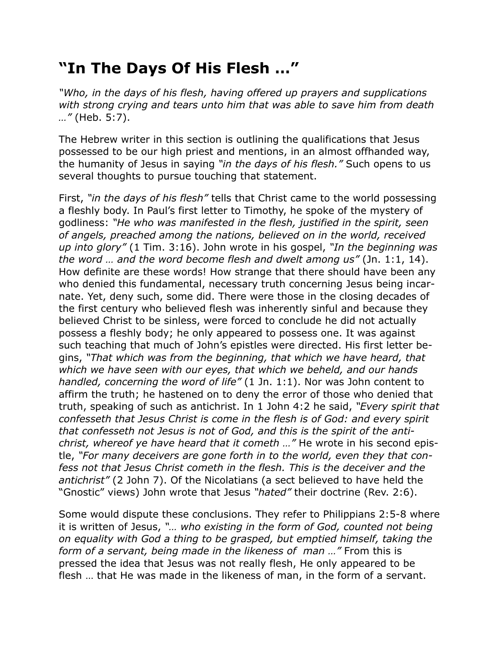## **"In The Days Of His Flesh …"**

*"Who, in the days of his flesh, having offered up prayers and supplications with strong crying and tears unto him that was able to save him from death …"* (Heb. 5:7).

The Hebrew writer in this section is outlining the qualifications that Jesus possessed to be our high priest and mentions, in an almost offhanded way, the humanity of Jesus in saying *"in the days of his flesh."* Such opens to us several thoughts to pursue touching that statement.

First, *"in the days of his flesh"* tells that Christ came to the world possessing a fleshly body. In Paul's first letter to Timothy, he spoke of the mystery of godliness: *"He who was manifested in the flesh, justified in the spirit, seen of angels, preached among the nations, believed on in the world, received up into glory"* (1 Tim. 3:16). John wrote in his gospel, *"In the beginning was the word … and the word become flesh and dwelt among us"* (Jn. 1:1, 14). How definite are these words! How strange that there should have been any who denied this fundamental, necessary truth concerning Jesus being incarnate. Yet, deny such, some did. There were those in the closing decades of the first century who believed flesh was inherently sinful and because they believed Christ to be sinless, were forced to conclude he did not actually possess a fleshly body; he only appeared to possess one. It was against such teaching that much of John's epistles were directed. His first letter begins, *"That which was from the beginning, that which we have heard, that which we have seen with our eyes, that which we beheld, and our hands handled, concerning the word of life"* (1 Jn. 1:1). Nor was John content to affirm the truth; he hastened on to deny the error of those who denied that truth, speaking of such as antichrist. In 1 John 4:2 he said, *"Every spirit that confesseth that Jesus Christ is come in the flesh is of God: and every spirit that confesseth not Jesus is not of God, and this is the spirit of the antichrist, whereof ye have heard that it cometh …"* He wrote in his second epistle, *"For many deceivers are gone forth in to the world, even they that confess not that Jesus Christ cometh in the flesh. This is the deceiver and the antichrist"* (2 John 7). Of the Nicolatians (a sect believed to have held the "Gnostic" views) John wrote that Jesus *"hated"* their doctrine (Rev. 2:6).

Some would dispute these conclusions. They refer to Philippians 2:5-8 where it is written of Jesus, *"… who existing in the form of God, counted not being on equality with God a thing to be grasped, but emptied himself, taking the form of a servant, being made in the likeness of man …"* From this is pressed the idea that Jesus was not really flesh, He only appeared to be flesh … that He was made in the likeness of man, in the form of a servant.